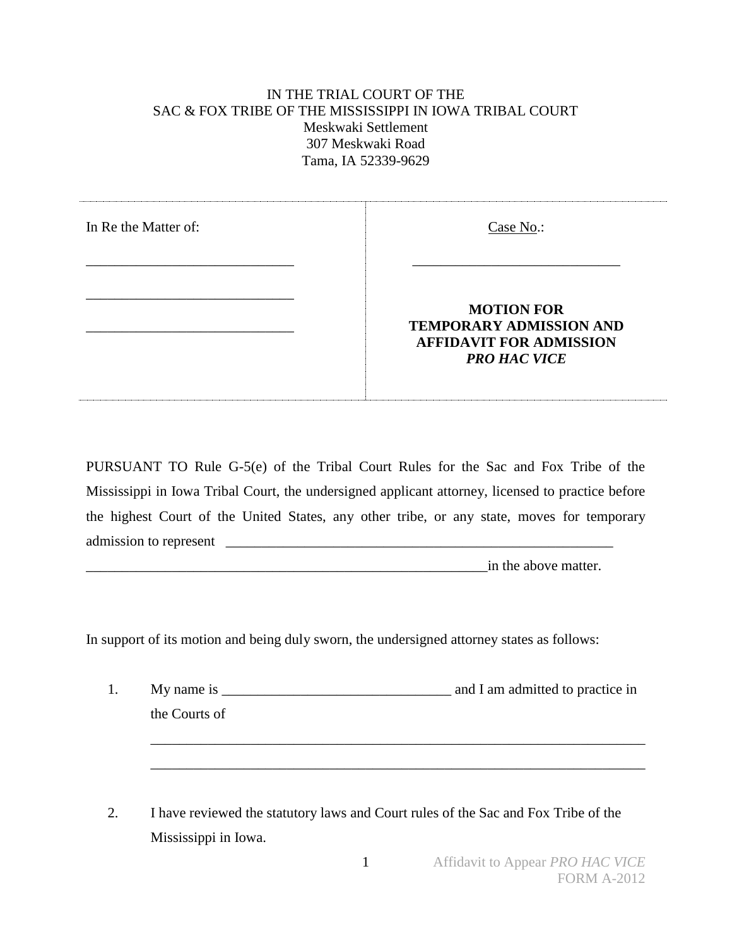## IN THE TRIAL COURT OF THE SAC & FOX TRIBE OF THE MISSISSIPPI IN IOWA TRIBAL COURT Meskwaki Settlement 307 Meskwaki Road Tama, IA 52339-9629

| In Re the Matter of: | Case No.:                                                                                                    |
|----------------------|--------------------------------------------------------------------------------------------------------------|
|                      | <b>MOTION FOR</b><br><b>TEMPORARY ADMISSION AND</b><br><b>AFFIDAVIT FOR ADMISSION</b><br><b>PRO HAC VICE</b> |

PURSUANT TO Rule G-5(e) of the Tribal Court Rules for the Sac and Fox Tribe of the Mississippi in Iowa Tribal Court, the undersigned applicant attorney, licensed to practice before the highest Court of the United States, any other tribe, or any state, moves for temporary admission to represent

\_\_\_\_\_\_\_\_\_\_\_\_\_\_\_\_\_\_\_\_\_\_\_\_\_\_\_\_\_\_\_\_\_\_\_\_\_\_\_\_\_\_\_\_\_\_\_\_\_\_\_\_\_\_\_\_in the above matter.

In support of its motion and being duly sworn, the undersigned attorney states as follows:

| 1. | My name is $\frac{1}{2}$ means if $\frac{1}{2}$ means if $\frac{1}{2}$ means if $\frac{1}{2}$ means if $\frac{1}{2}$ means if $\frac{1}{2}$ means if $\frac{1}{2}$ means if $\frac{1}{2}$ means if $\frac{1}{2}$ means if $\frac{1}{2}$ means if $\frac{1}{2}$ means if | and I am admitted to practice in |
|----|-------------------------------------------------------------------------------------------------------------------------------------------------------------------------------------------------------------------------------------------------------------------------|----------------------------------|
|    | the Courts of                                                                                                                                                                                                                                                           |                                  |
|    |                                                                                                                                                                                                                                                                         |                                  |
|    |                                                                                                                                                                                                                                                                         |                                  |
|    |                                                                                                                                                                                                                                                                         |                                  |
|    |                                                                                                                                                                                                                                                                         |                                  |

2. I have reviewed the statutory laws and Court rules of the Sac and Fox Tribe of the Mississippi in Iowa.